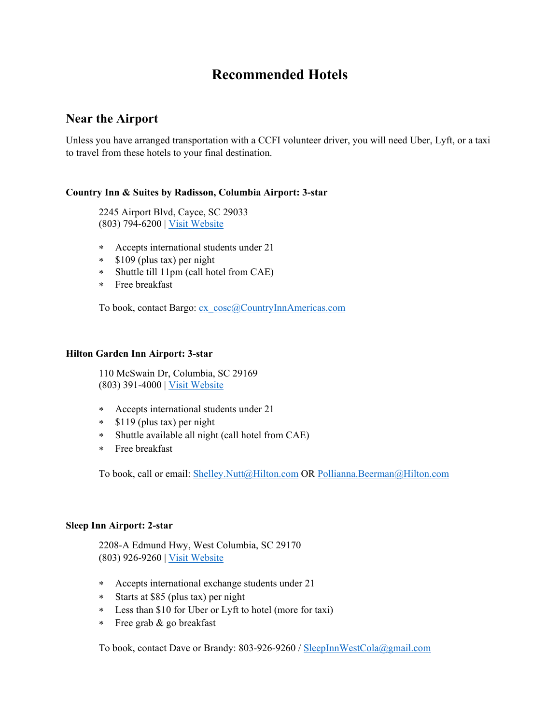# **Recommended Hotels**

### **Near the Airport**

Unless you have arranged transportation with a CCFI volunteer driver, you will need Uber, Lyft, or a taxi to travel from these hotels to your final destination.

#### **Country Inn & Suites by Radisson, Columbia Airport: 3-star**

2245 Airport Blvd, Cayce, SC 29033 (803) 794-6200 | [Visit Website](https://www.radissonhotels.com/en-us/hotels/country-inn-columbia-airport-sc?cid=a:se+b:gmb+c:amer+i:local+e:cis+d:us+h:SCCOLAIR)

- ∗ Accepts international students under 21
- ∗ \$109 (plus tax) per night
- ∗ Shuttle till 11pm (call hotel from CAE)
- ∗ Free breakfast

To book, contact Bargo: [cx\\_cosc@CountryInnAmericas.com](mailto:cx_cosc@CountryInnAmericas.com)

#### **Hilton Garden Inn Airport: 3-star**

110 McSwain Dr, Columbia, SC 29169 (803) 391-4000 | [Visit Website](https://www.hilton.com/en/hotels/caemcgi-hilton-garden-inn-columbia-airport/?SEO_id=GMB-GI-AEMCGI&y_source=1_MTkyNjMyMDAtNzE1LWxvY2F0aW9uLmdvb2dsZV93ZWJzaXRlX292ZXJyaWRl)

- ∗ Accepts international students under 21
- ∗ \$119 (plus tax) per night
- ∗ Shuttle available all night (call hotel from CAE)
- ∗ Free breakfast

To book, call or email: [Shelley.Nutt@Hilton.com](mailto:Shelley.Nutt@Hilton.com) OR [Pollianna.Beerman@Hilton.com](mailto:Pollianna.Beerman@Hilton.com)

#### **Sleep Inn Airport: 2-star**

2208-A Edmund Hwy, West Columbia, SC 29170 (803) 926-9260 | [Visit Website](https://www.choicehotels.com/south-carolina/west-columbia/sleep-inn-hotels/sc044?source=gyxt)

- ∗ Accepts international exchange students under 21
- ∗ Starts at \$85 (plus tax) per night
- ∗ Less than \$10 for Uber or Lyft to hotel (more for taxi)
- ∗ Free grab & go breakfast

To book, contact Dave or Brandy: 803-926-9260 / [SleepInnWestCola@gmail.com](mailto:SleepInnWestCola@gmail.com)